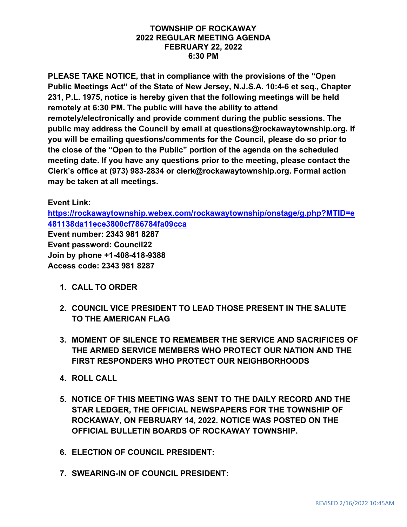#### **TOWNSHIP OF ROCKAWAY 2022 REGULAR MEETING AGENDA FEBRUARY 22, 2022 6:30 PM**

**PLEASE TAKE NOTICE, that in compliance with the provisions of the "Open Public Meetings Act" of the State of New Jersey, N.J.S.A. 10:4-6 et seq., Chapter 231, P.L. 1975, notice is hereby given that the following meetings will be held remotely at 6:30 PM. The public will have the ability to attend remotely/electronically and provide comment during the public sessions. The public may address the Council by email at questions@rockawaytownship.org. If you will be emailing questions/comments for the Council, please do so prior to the close of the "Open to the Public" portion of the agenda on the scheduled meeting date. If you have any questions prior to the meeting, please contact the Clerk's office at (973) 983-2834 or clerk@rockawaytownship.org. Formal action may be taken at all meetings.**

#### **Event Link:**

**[https://rockawaytownship.webex.com/rockawaytownship/onstage/g.php?MTID=e](https://rockawaytownship.webex.com/rockawaytownship/onstage/g.php?MTID=e481138da11ece3800cf786784fa09cca) [481138da11ece3800cf786784fa09cca](https://rockawaytownship.webex.com/rockawaytownship/onstage/g.php?MTID=e481138da11ece3800cf786784fa09cca)**

**Event number: 2343 981 8287 Event password: Council22 Join by phone +1-408-418-9388 Access code: 2343 981 8287**

- **1. CALL TO ORDER**
- **2. COUNCIL VICE PRESIDENT TO LEAD THOSE PRESENT IN THE SALUTE TO THE AMERICAN FLAG**
- **3. MOMENT OF SILENCE TO REMEMBER THE SERVICE AND SACRIFICES OF THE ARMED SERVICE MEMBERS WHO PROTECT OUR NATION AND THE FIRST RESPONDERS WHO PROTECT OUR NEIGHBORHOODS**
- **4. ROLL CALL**
- **5. NOTICE OF THIS MEETING WAS SENT TO THE DAILY RECORD AND THE STAR LEDGER, THE OFFICIAL NEWSPAPERS FOR THE TOWNSHIP OF ROCKAWAY, ON FEBRUARY 14, 2022. NOTICE WAS POSTED ON THE OFFICIAL BULLETIN BOARDS OF ROCKAWAY TOWNSHIP.**
- **6. ELECTION OF COUNCIL PRESIDENT:**
- **7. SWEARING-IN OF COUNCIL PRESIDENT:**